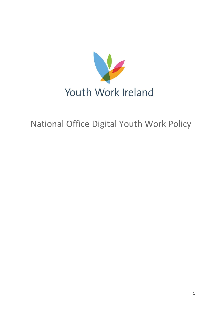

# National Office Digital Youth Work Policy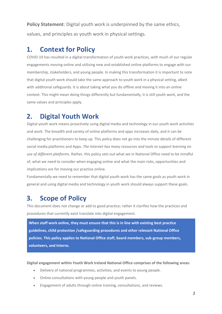**Policy Statement**: Digital youth work is underpinned by the same ethics, values, and principles as youth work in physical settings.

## **1. Context for Policy**

COVID-19 has resulted in a digital transformation of youth work practices, with much of our regular engagements moving online and utilising new and established online platforms to engage with our membership, stakeholders, and young people. In making this transformation it is important to note that digital youth work should take the same approach to youth work in a physical setting, albeit with additional safeguards. It is about taking what you do offline and moving it into an online context. This might mean doing things differently but fundamentally, it is still youth work, and the same values and principles apply.

## **2. Digital Youth Work**

Digital youth work means proactively using digital media and technology in our youth work activities and work. The breadth and variety of online platforms and apps increases daily, and it can be challenging for practitioners to keep up. This policy does not go into the minute details of different social media platforms and Apps*. The Internet has many resources and tools to support learning on use of different platforms*. Rather, this policy sets out what we in National Office need to be mindful of, what we need to consider when engaging online and what the main risks, opportunities and implications are for moving our practice online.

Fundamentally we need to remember that digital youth work has the same goals as youth work in general and using digital media and technology in youth work should always support these goals.

## **3. Scope of Policy**

This document does not change or add to good practice; rather it clarifies how the practices and procedures that currently exist translate into digital engagement.

**When staff work online, they must ensure that this is in line with existing best practice guidelines, child protection /safeguarding procedures and other relevant National Office policies. This policy applies to National Office staff, board members, sub-group members, volunteers, and Interns.**

**Digital engagement within Youth Work Ireland National Office comprises of the following areas:**

- Delivery of national programmes, activities, and events to young people.
- Online consultations with young people and youth panels.
- Engagement of adults through online training, consultations, and reviews.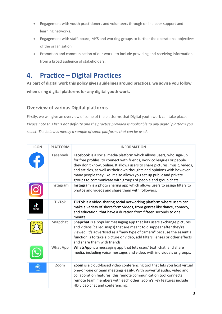- Engagement with youth practitioners and volunteers through online peer support and learning networks.
- Engagement with staff, board, MYS and working groups to further the operational objectives of the organisation.
- Promotion and communication of our work to include providing and receiving information from a broad audience of stakeholders.

## **4. Practice – Digital Practices**

**As part of digital work this policy gives guidelines around practices, we advise you follow when using digital platforms for any digital youth work.**

## **Overview of various Digital platforms**

Firstly, we will give an overview of some of the platforms that Digital youth work can take place. *Please note this list is not definite and the practise provided is applicable to any digital platform you select. The below is merely a sample of some platforms that can be used*.

| <b>ICON</b>   | <b>PLATFORM</b> | <b>INFORMATION</b>                                                                                                                                                                                                                                                                                                                                                                                                                         |
|---------------|-----------------|--------------------------------------------------------------------------------------------------------------------------------------------------------------------------------------------------------------------------------------------------------------------------------------------------------------------------------------------------------------------------------------------------------------------------------------------|
|               | <b>Facebook</b> | Facebook is a social media platform which allows users, who sign-up<br>for free profiles, to connect with friends, work colleagues or people<br>they don't know, online. It allows users to share pictures, music, videos,<br>and articles, as well as their own thoughts and opinions with however<br>many people they like. It also allows you set up public and private<br>groups to communicate with groups of people and group chats. |
|               | Instagram       | Instagram is a photo sharing app which allows users to assign filters to<br>photos and videos and share them with followers.                                                                                                                                                                                                                                                                                                               |
| <b>TikTok</b> | <b>TikTok</b>   | TikTok is a video-sharing social networking platform where users can<br>make a variety of short-form videos, from genres like dance, comedy,<br>and education, that have a duration from fifteen seconds to one<br>minute.                                                                                                                                                                                                                 |
|               | Snapchat        | Snapchat is a popular messaging app that lets users exchange pictures<br>and videos (called snaps) that are meant to disappear after they're<br>viewed. It's advertised as a "new type of camera" because the essential<br>function is to take a picture or video, add filters, lenses or other effects<br>and share them with friends.                                                                                                    |
|               | <b>What App</b> | WhatsApp is a messaging app that lets users' text, chat, and share<br>media, including voice messages and video, with individuals or groups.                                                                                                                                                                                                                                                                                               |
|               | Zoom            | Zoom is a cloud-based video conferencing tool that lets you host virtual<br>one-on-one or team meetings easily. With powerful audio, video and<br>collaboration features, this remote communication tool connects<br>remote team members with each other. Zoom's key features include<br>HD video chat and conferencing.                                                                                                                   |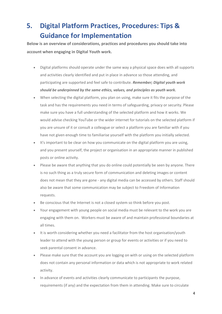## **5. Digital Platform Practices, Procedures: Tips & Guidance for Implementation**

**Below is an overview of considerations, practices and procedures you should take into account when engaging in Digital Youth work.**

- Digital platforms should operate under the same way a physical space does with all supports and activities clearly identified and put in place in advance so those attending, and participating are supported and feel safe to contribute. *Remember; Digital youth work should be underpinned by the same ethics, values, and principles as youth work.*
- When selecting the digital platform, you plan on using, make sure it fits the purpose of the task and has the requirements you need in terms of safeguarding, privacy or security. Please make sure you have a full understanding of the selected platform and how it works. We would advise checking YouTube or the wider internet for tutorials on the selected platform if you are unsure of it or consult a colleague or select a platform you are familiar with if you have not given enough time to familiarise yourself with the platform you initially selected.
- It's important to be clear on how you communicate on the digital platform you are using, and you present yourself, the project or organisation in an appropriate manner in published posts or online activity.
- Please be aware that anything that you do online could potentially be seen by anyone. There is no such thing as a truly secure form of communication and deleting images or content does not mean that they are gone - any digital media can be accessed by others. Staff should also be aware that some communication may be subject to Freedom of Information requests.
- Be conscious that the Internet is not a closed system so think before you post.
- Your engagement with young people on social media must be relevant to the work you are engaging with them on. Workers must be aware of and maintain professional boundaries at all times.
- It is worth considering whether you need a facilitator from the host organisation/youth leader to attend with the young person or group for events or activities or if you need to seek parental consent in advance.
- Please make sure that the account you are logging on with or using on the selected platform does not contain any personal information or data which is not appropriate to work related activity.
- In advance of events and activities clearly communicate to participants the purpose, requirements (if any) and the expectation from them in attending. Make sure to circulate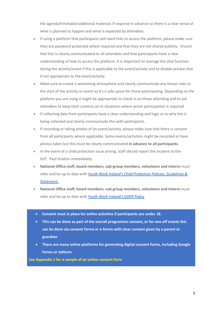the agenda/timetable/additional materials if required in advance so there is a clear sense of what is planned to happen and what is expected by attendees.

- If using a platform that participants will need links to access the platform, please make sure they are password protected where required and that they are not shared publicly. Ensure that this is clearly communicated to all attendees and that participants have a clear understanding of how to access the platform. It is important to manage the chat function during the activity/event if this is applicable to the event/activity and to disable private chat if not appropriate to the event/activity.
- Make sure to create a welcoming atmosphere and clearly communicate any house rules at the start of the activity or event so it's a safe space for those participating. Depending on the platform you are using it might be appropriate to check in on those attending and to ask attendees to keep their cameras on in situations where active participation is required.
- If collecting data from participants have a clear understanding and logic as to why this is being collected and clearly communicate this with participants.
- If recording or taking photos of an event/activity, please make sure that there is consent from all participants where applicable. Some events/activities might be recorded or have photos taken but this must be clearly communicated **in advance to all participants.**
- In the event of a child protection issue arising, staff should report the incident to the DLP. Paul Gralton immediately.
- **National Office staff, board members, sub-group members, volunteers and Interns** must refer and be up to date with [Youth Work Ireland's Child Protection Policies, Guidelines &](https://drive.google.com/file/d/1fDEPh72HWx_-4Dna1zfq_ei-0Z_zUY9F/view?usp=sharing)  [Statement.](https://drive.google.com/file/d/1fDEPh72HWx_-4Dna1zfq_ei-0Z_zUY9F/view?usp=sharing)
- **National Office staff, board members, sub-group members, volunteers and Interns** must refer and be up to date with [Youth Work Ireland's GDPR Policy](https://drive.google.com/file/d/1IHkJLH3Q-04fG-aDug0V9bNZPUCi6oil/view?usp=sharing)
- **Consent must in place for online activities if participants are under 18.**
- **This can be done as part of the overall programme consent, or for one off events this can be done via consent forms or e-forms with clear consent given by a parent or guardian**
- **There are many online platforms for generating digital consent forms, including Google Forms or Jotform.**

**See Appendix 1 for a sample of an online consent form**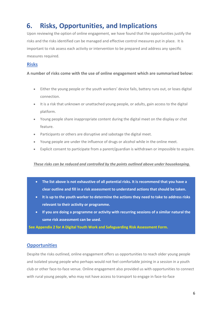## **6. Risks, Opportunities, and Implications**

Upon reviewing the option of online engagement, we have found that the opportunities justify the risks and the risks identified can be managed and effective control measures put in place. It is important to risk assess each activity or intervention to be prepared and address any specific measures required.

### **Risks**

### **A number of risks come with the use of online engagement which are summarised below:**

- Either the young people or the youth workers' device fails, battery runs out, or loses digital connection.
- It is a risk that unknown or unattached young people, or adults, gain access to the digital platform.
- Young people share inappropriate content during the digital meet on the display or chat feature.
- Participants or others are disruptive and sabotage the digital meet.
- Young people are under the influence of drugs or alcohol while in the online meet.
- Explicit consent to participate from a parent/guardian is withdrawn or impossible to acquire.

#### *These risks can be reduced and controlled by the points outlined above under housekeeping.*

- **The list above is not exhaustive of all potential risks. It is recommend that you have a clear outline and fill in a risk assessment to understand actions that should be taken.**
- **It is up to the youth worker to determine the actions they need to take to address risks relevant to their activity or programme.**
- **If you are doing a programme or activity with recurring sessions of a similar natural the same risk assessment can be used.**

**See Appendix 2 for A Digital Youth Work and Safeguarding Risk Assessment Form.**

### **Opportunities**

Despite the risks outlined, online engagement offers us opportunities to reach older young people and isolated young people who perhaps would not feel comfortable joining in a session in a youth club or other face-to-face venue. Online engagement also provided us with opportunities to connect with rural young people, who may not have access to transport to engage in face-to-face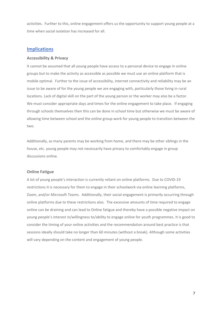activities. Further to this, online engagement offers us the opportunity to support young people at a time when social isolation has increased for all.

### **Implications**

#### **Accessibility & Privacy**

It cannot be assumed that all young people have access to a personal device to engage in online groups but to make the activity as accessible as possible we must use an online platform that is mobile optimal. Further to the issue of accessibility, internet connectivity and reliability may be an issue to be aware of for the young people we are engaging with, particularly those living in rural locations. Lack of digital skill on the part of the young person or the worker may also be a factor. We must consider appropriate days and times for the online engagement to take place. If engaging through schools themselves then this can be done in school time but otherwise we must be aware of allowing time between school and the online group work for young people to transition between the two.

Additionally, as many parents may be working from home, and there may be other siblings in the house, etc. young people may not necessarily have privacy to comfortably engage in group discussions online.

#### **Online Fatigue**

A lot of young people's interaction is currently reliant on online platforms. Due to COVID-19 restrictions it is necessary for them to engage in their schoolwork via online learning platforms, Zoom, and/or Microsoft Teams. Additionally, their social engagement is primarily occurring through online platforms due to these restrictions also. The excessive amounts of time required to engage online can be draining and can lead to Online fatigue and thereby have a possible negative impact on young people's interest in/willingness to/ability to engage online for youth programmes. It is good to consider the timing of your online activities and the recommendation around best practice is that sessions ideally should take no longer than 60 minutes (without a break). Although some activities will vary depending on the content and engagement of young people.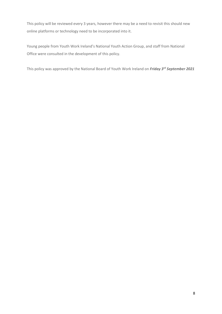This policy will be reviewed every 3 years, however there may be a need to revisit this should new online platforms or technology need to be incorporated into it.

Young people from Youth Work Ireland's National Youth Action Group, and staff from National Office were consulted in the development of this policy.

This policy was approved by the National Board of Youth Work Ireland on *Friday 3rd September 2021*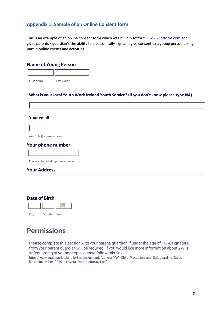## **Appendix 1: Sample of an Online Consent form**

This is an example of an online consent form which was built in Jotform - [www.jotform.com](http://www.jotform.com/) and gives parents / guardian's the ability to electronically sign and give consent to a young person taking part in online events and activities.

### **Name of Young Person**



#### **What is your local Youth Work Ireland Youth Service? (if you don't know please type NA).**

#### **Your email**

[example@example.com](mailto:example@example.com)

### **Your phone number**

Please enter a valid phone number.

#### **Your Address**

### **Date of Birth**

| Day | Month | Year |
|-----|-------|------|

## **Permissions**

Please complete this section with your parent/guardian if under the age of 16. A signature from your parent guardian will be required. If you would like more information about YWI's safeguarding of youngpeople, please follow this link:

https:/[www.youthworkireland.ie/images/uploads/general/YWI\\_Child\\_Protection\\_and\\_Safeguarding\\_Guide](http://www.youthworkireland.ie/images/uploads/general/YWI_Child_Protection_and_Safeguarding_Guide) lines\_November\_2019\_-\_Layout\_Document(002).pdf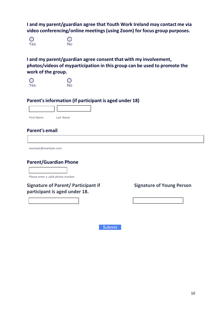**I and my parent/guardian agree that Youth Work Ireland may contact me via video conferencing/online meetings(using Zoom) for focus group purposes.**

O<br>Yes No

**I and my parent/guardian agree consent that with my involvement, photos/videos of myparticipation in this group can be used to promote the work of the group.**



## **Parent'sinformation (if participant is aged under 18)**

| <b>First Name</b> | Last Name |
|-------------------|-----------|

## **Parent's email**

[example@example.com](mailto:example@example.com)

## **Parent/Guardian Phone**

Please enter a valid phone number.

**Signature of Parent/ Participant if Signature of Young Person participant is aged under 18.**

Submit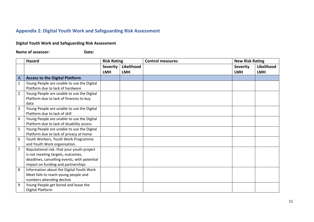## **Appendix 2: Digital Youth Work and Safeguarding Risk Assessment**

### **Digital Youth Work and Safeguarding Risk Assessment**

**Name of assessor: Date:** 

|                | <b>Hazard</b>                                | <b>Risk Rating</b> |            | <b>Control measures</b> | <b>New Risk Rating</b> |            |
|----------------|----------------------------------------------|--------------------|------------|-------------------------|------------------------|------------|
|                |                                              | <b>Severity</b>    | Likelihood |                         | <b>Severity</b>        | Likelihood |
|                |                                              | <b>LMH</b>         | <b>LMH</b> |                         | <b>LMH</b>             | <b>LMH</b> |
| $\overline{A}$ | <b>Access to the Digital Platform</b>        |                    |            |                         |                        |            |
| $\mathbf{1}$   | Young People are unable to use the Digital   |                    |            |                         |                        |            |
|                | Platform due to lack of hardware             |                    |            |                         |                        |            |
| $\overline{2}$ | Young People are unable to use the Digital   |                    |            |                         |                        |            |
|                | Platform due to lack of finances to buy      |                    |            |                         |                        |            |
|                | data                                         |                    |            |                         |                        |            |
| 3              | Young People are unable to use the Digital   |                    |            |                         |                        |            |
|                | Platform due to lack of skill                |                    |            |                         |                        |            |
| 4              | Young People are unable to use the Digital   |                    |            |                         |                        |            |
|                | Platform due to lack of disability access    |                    |            |                         |                        |            |
| 5              | Young People are unable to use the Digital   |                    |            |                         |                        |            |
|                | Platform due to lack of privacy at home      |                    |            |                         |                        |            |
| 6              | Youth Workers, Youth Work Programme          |                    |            |                         |                        |            |
|                | and Youth Work organisation.                 |                    |            |                         |                        |            |
| $\overline{7}$ | Reputational risk: that your youth project   |                    |            |                         |                        |            |
|                | is not meeting targets, outcomes,            |                    |            |                         |                        |            |
|                | deadlines, cancelling events, with potential |                    |            |                         |                        |            |
|                | impact on funding and partnerships           |                    |            |                         |                        |            |
| 8              | Information about the Digital Youth Work     |                    |            |                         |                        |            |
|                | Meet fails to reach young people and         |                    |            |                         |                        |            |
|                | numbers attending decline                    |                    |            |                         |                        |            |
| 9              | Young People get bored and leave the         |                    |            |                         |                        |            |
|                | Digital Platform                             |                    |            |                         |                        |            |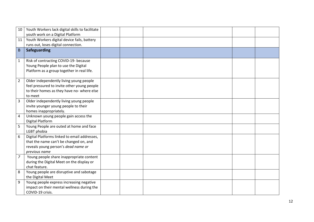| 10             | Youth Workers lack digital skills to facilitate                                        |  |  |  |
|----------------|----------------------------------------------------------------------------------------|--|--|--|
|                | youth work on a Digital Platform                                                       |  |  |  |
| 11             | Youth Workers digital device fails, battery                                            |  |  |  |
|                | runs out, loses digital connection.                                                    |  |  |  |
| B              | Safeguarding                                                                           |  |  |  |
|                |                                                                                        |  |  |  |
| $\mathbf{1}$   | Risk of contracting COVID-19- because                                                  |  |  |  |
|                | Young People plan to use the Digital                                                   |  |  |  |
|                | Platform as a group together in real life.                                             |  |  |  |
|                |                                                                                        |  |  |  |
| $\overline{2}$ | Older independently living young people                                                |  |  |  |
|                | feel pressured to invite other young people                                            |  |  |  |
|                | to their homes as they have no- where else                                             |  |  |  |
|                | to meet                                                                                |  |  |  |
| 3              | Older independently living young people                                                |  |  |  |
|                | invite younger young people to their                                                   |  |  |  |
|                | homes inappropriately.                                                                 |  |  |  |
| 4              | Unknown young people gain access the                                                   |  |  |  |
|                | <b>Digital Platform</b>                                                                |  |  |  |
| 5              | Young People are outed at home and face                                                |  |  |  |
| 6              | LGBT phobia                                                                            |  |  |  |
|                | Digital Platforms linked to email addresses,<br>that the name can't be changed on, and |  |  |  |
|                | reveals young person's dead name or                                                    |  |  |  |
|                | previous name                                                                          |  |  |  |
| $\overline{z}$ | Young people share inappropriate content                                               |  |  |  |
|                | during the Digital Meet on the display or                                              |  |  |  |
|                | chat feature.                                                                          |  |  |  |
| 8              | Young people are disruptive and sabotage                                               |  |  |  |
|                | the Digital Meet                                                                       |  |  |  |
| 9              | Young people express increasing negative                                               |  |  |  |
|                | impact on their mental wellness during the                                             |  |  |  |
|                | COVID-19 crisis.                                                                       |  |  |  |